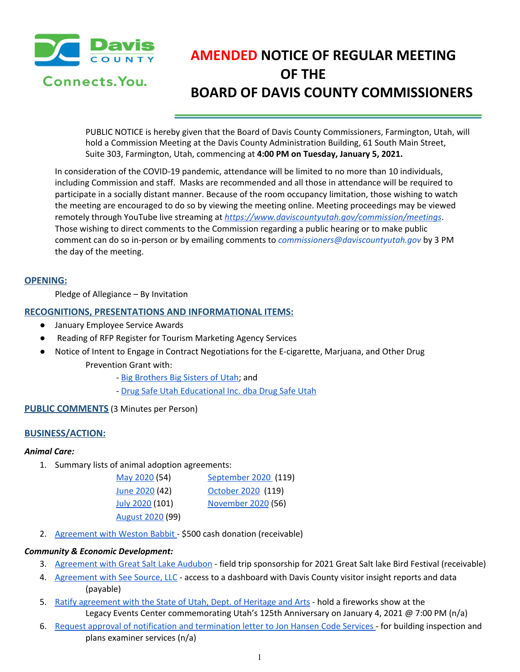

# **AMENDED NOTICE OF REGULAR MEETING OF THE BOARD OF DAVIS COUNTY COMMISSIONERS**

PUBLIC NOTICE is hereby given that the Board of Davis County Commissioners, Farmington, Utah, will hold a Commission Meeting at the Davis County Administration Building, 61 South Main Street, Suite 303, Farmington, Utah, commencing at **4:00 PM on Tuesday, January 5, 2021.**

In consideration of the COVID-19 pandemic, attendance will be limited to no more than 10 individuals, including Commission and staff. Masks are recommended and all those in attendance will be required to participate in a socially distant manner. Because of the room occupancy limitation, those wishing to watch the meeting are encouraged to do so by viewing the meeting online. Meeting proceedings may be viewed remotely through YouTube live streaming at *<https://www.daviscountyutah.gov/commission/meetings>*. Those wishing to direct comments to the Commission regarding a public hearing or to make public comment can do so in-person or by emailing comments to *commissioners@daviscountyutah.gov* by 3 PM the day of the meeting.

## **OPENING:**

Pledge of Allegiance – By Invitation

## **RECOGNITIONS, PRESENTATIONS AND INFORMATIONAL ITEMS:**

- January Employee Service Awards
- Reading of RFP Register for Tourism Marketing Agency Services
- Notice of Intent to Engage in Contract Negotiations for the E-cigarette, Marjuana, and Other Drug Prevention Grant with:
	- Big [Brothers](https://drive.google.com/file/d/1ZCNZ8WF2pEjTJJ2c9-cpiLz6-vWivWkO/view?usp=drivesdk) Big Sisters of Utah; and
	- Drug Safe Utah [Educational](https://drive.google.com/file/d/1elxVn5U2OdeL7KjyV4QxWS87_85ALBn_/view?usp=drivesdk) Inc. dba Drug Safe Utah

## **PUBLIC COMMENTS** (3 Minutes per Person)

## **BUSINESS/ACTION:**

## *Animal Care:*

1. Summary lists of animal adoption agreements:

| May 2020 (54)    | September 2020 (119) |
|------------------|----------------------|
| June 2020 (42)   | October 2020 (119)   |
| July 2020 (101)  | November 2020 (56)   |
| August 2020 (99) |                      |

2. [Agreement](https://drive.google.com/file/d/1fbMR6RU6GWo0421-sNcTvLgyAtbZzsXS/view?usp=drivesdk) with Weston Babbit - \$500 cash donation (receivable)

#### *Community & Economic Development:*

- 3. [Agreement](https://drive.google.com/file/d/1LCtcM_kS-AeSlWs7CljtSYrA8di3VQH0/view?usp=drivesdk) with Great Salt Lake Audubon field trip sponsorship for 2021 Great Salt lake Bird Festival (receivable)
- 4. [Agreement](https://drive.google.com/file/d/1PvBHzAPFlMf9f7g_tHIkjhj8pMO01Cth/view?usp=drivesdk) with See Source, LLC access to a dashboard with Davis County visitor insight reports and data (payable)
- 5. Ratify [agreement](https://drive.google.com/file/d/1ExHrzEHK7HqF-IJsgA-ojxrUbluwJusD/view?usp=drivesdk) with the State of Utah, Dept. of Heritage and Arts hold a fireworks show at the Legacy Events Center commemorating Utah's 125th Anniversary on January 4, 2021 @ 7:00 PM (n/a)
- 6. Request approval of notification and [termination](https://drive.google.com/file/d/1mxhfUyFSTYT8QbXBG8w0CHSaQP9y85TU/view?usp=drivesdk) letter to Jon Hansen Code Services for building inspection and plans examiner services (n/a[\)](https://drive.google.com/file/d/1FQegLJUwyyRVKVUp21Ph4b6U5UKnBiLV/view?usp=drivesdk)